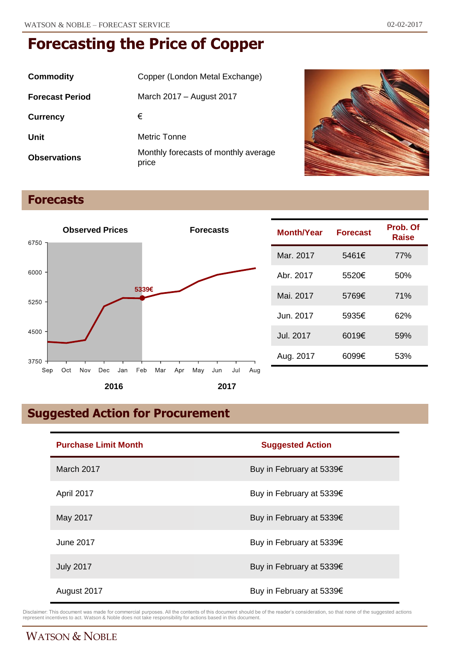| Commodity              | Copper (London Metal Exchange)                |
|------------------------|-----------------------------------------------|
| <b>Forecast Period</b> | March 2017 - August 2017                      |
| <b>Currency</b>        | €                                             |
| Unit                   | Metric Tonne                                  |
| <b>Observations</b>    | Monthly forecasts of monthly average<br>price |



### **Forecasts**



| <b>Month/Year</b> | <b>Forecast</b> | Prob. Of<br>Raise |
|-------------------|-----------------|-------------------|
| Mar. 2017         | 5461€           | 77%               |
| Abr. 2017         | 5520€           | 50%               |
| Mai. 2017         | 5769€           | 71%               |
| Jun. 2017         | 5935€           | 62%               |
| Jul. 2017         | 6019€           | 59%               |
| Aug. 2017         | 6099€           | 53%               |

## **Suggested Action for Procurement**

| <b>Purchase Limit Month</b> | <b>Suggested Action</b>  |
|-----------------------------|--------------------------|
| March 2017                  | Buy in February at 5339€ |
| April 2017                  | Buy in February at 5339€ |
| May 2017                    | Buy in February at 5339€ |
| June 2017                   | Buy in February at 5339€ |
| <b>July 2017</b>            | Buy in February at 5339€ |
| August 2017                 | Buy in February at 5339€ |

Disclaimer: This document was made for commercial purposes. All the contents of this document should be of the reader's consideration, so that none of the suggested actions<br>represent incentives to act. Watson & Noble does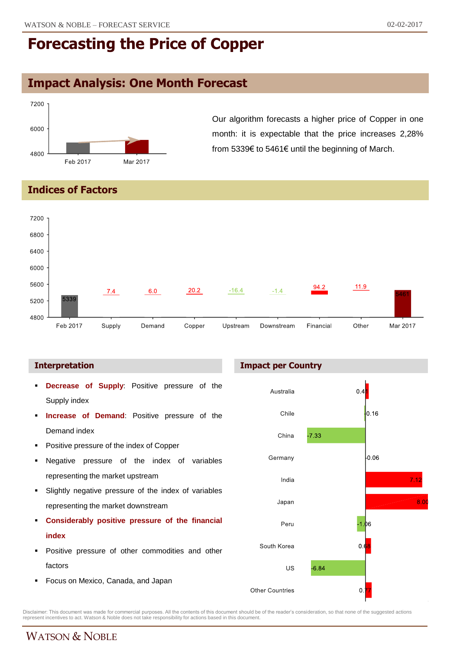### **Impact Analysis: One Month Forecast**



Our algorithm forecasts a higher price of Copper in one month: it is expectable that the price increases 2,28% from 5339€ to 5461€ until the beginning of March.

#### **Indices of Factors**



#### **Interpretation**

- **Decrease of Supply**: Positive pressure of the Supply index
- **Increase of Demand**: Positive pressure of the Demand index
- Positive pressure of the index of Copper
- Negative pressure of the index of variables representing the market upstream
- Slightly negative pressure of the index of variables representing the market downstream
- **Considerably positive pressure of the financial index**
- Positive pressure of other commodities and other factors
- **Focus on Mexico, Canada, and Japan**





Disclaimer: This document was made for commercial purposes. All the contents of this document should be of the reader's consideration, so that none of the suggested actions<br>represent incentives to act. Watson & Noble does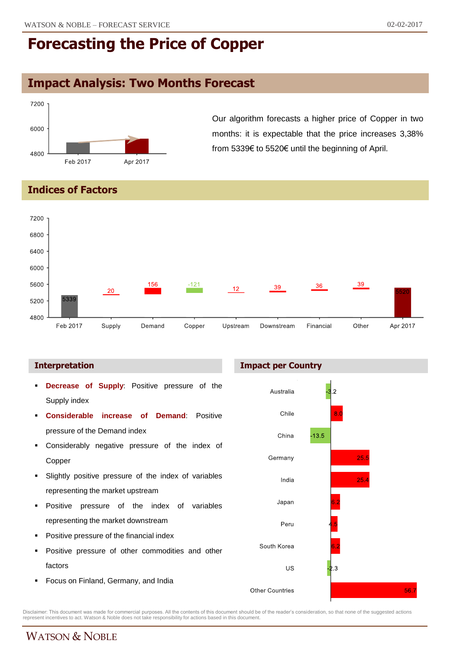## **Impact Analysis: Two Months Forecast**



Our algorithm forecasts a higher price of Copper in two months: it is expectable that the price increases 3,38% from 5339€ to 5520€ until the beginning of April.

### **Indices of Factors**



- **Decrease of Supply**: Positive pressure of the Supply index
- **Considerable increase of Demand**: Positive pressure of the Demand index
- Considerably negative pressure of the index of Copper
- Slightly positive pressure of the index of variables representing the market upstream
- Positive pressure of the index of variables representing the market downstream
- Positive pressure of the financial index
- Positive pressure of other commodities and other factors
- **Focus on Finland, Germany, and India**



Disclaimer: This document was made for commercial purposes. All the contents of this document should be of the reader's consideration, so that none of the suggested actions<br>represent incentives to act. Watson & Noble does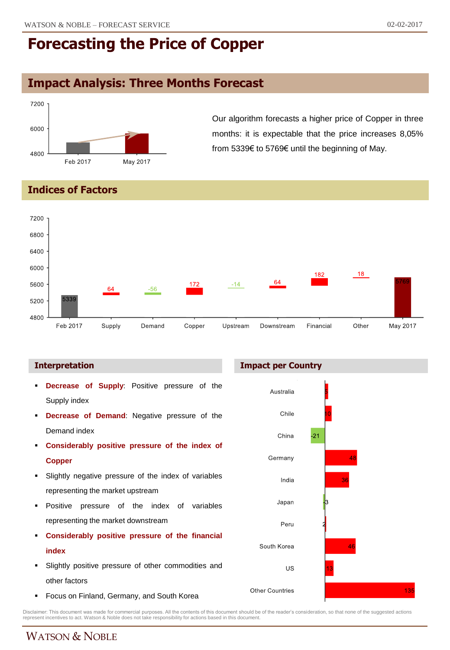## **Impact Analysis: Three Months Forecast**



Our algorithm forecasts a higher price of Copper in three months: it is expectable that the price increases 8,05% from 5339€ to 5769€ until the beginning of May.

**Indices of Factors**



#### **Interpretation Impact per Country**

- **Decrease of Supply**: Positive pressure of the Supply index
- **Decrease of Demand**: Negative pressure of the Demand index
- **Considerably positive pressure of the index of Copper**
- Slightly negative pressure of the index of variables representing the market upstream
- **Positive pressure of the index of variables** representing the market downstream
- **Considerably positive pressure of the financial index**
- Slightly positive pressure of other commodities and other factors
- Focus on Finland, Germany, and South Korea



Disclaimer: This document was made for commercial purposes. All the contents of this document should be of the reader's consideration, so that none of the suggested actions<br>represent incentives to act. Watson & Noble does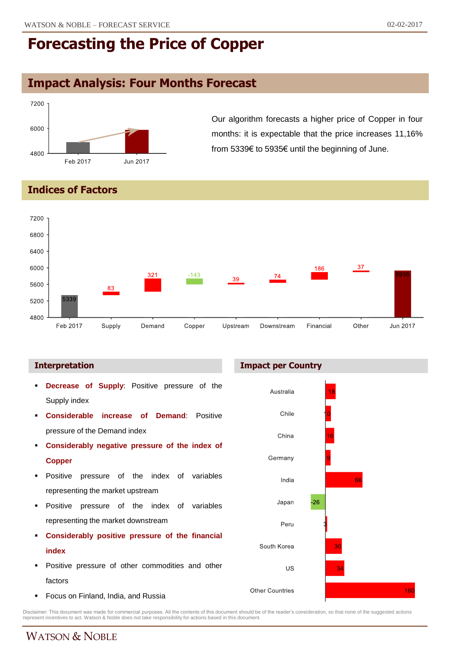### **Impact Analysis: Four Months Forecast**



Our algorithm forecasts a higher price of Copper in four months: it is expectable that the price increases 11,16% from 5339€ to 5935€ until the beginning of June.

#### **Indices of Factors**



#### **Interpretation Impact per Country**

- **Decrease of Supply**: Positive pressure of the Supply index
- **Considerable increase of Demand**: Positive pressure of the Demand index
- **Considerably negative pressure of the index of Copper**
- Positive pressure of the index of variables representing the market upstream
- **Positive pressure of the index of variables** representing the market downstream
- **Considerably positive pressure of the financial index**
- Positive pressure of other commodities and other factors
- Focus on Finland, India, and Russia



Disclaimer: This document was made for commercial purposes. All the contents of this document should be of the reader's consideration, so that none of the suggested actions<br>represent incentives to act. Watson & Noble does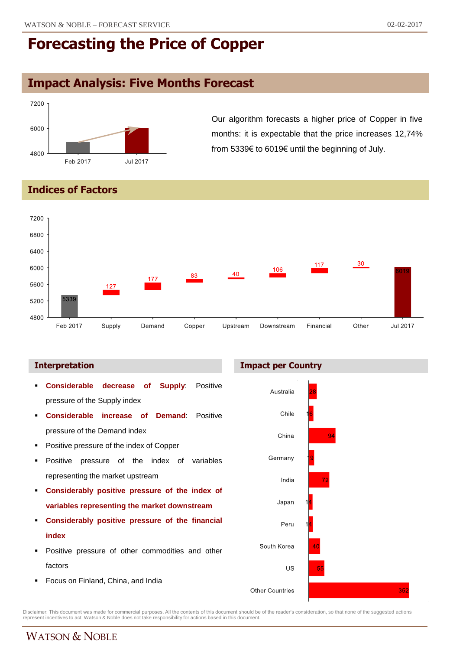### **Impact Analysis: Five Months Forecast**



Our algorithm forecasts a higher price of Copper in five months: it is expectable that the price increases 12,74% from 5339€ to 6019€ until the beginning of July.

### **Indices of Factors**



#### **Interpretation Impact per Country**



Disclaimer: This document was made for commercial purposes. All the contents of this document should be of the reader's consideration, so that none of the suggested actions<br>represent incentives to act. Watson & Noble does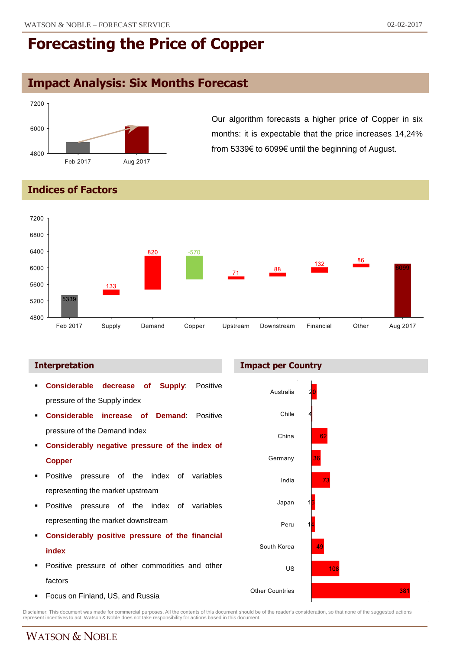### **Impact Analysis: Six Months Forecast**



Our algorithm forecasts a higher price of Copper in six months: it is expectable that the price increases 14,24% from 5339€ to 6099€ until the beginning of August.

#### **Indices of Factors**



#### **Interpretation Impact per Country**



Disclaimer: This document was made for commercial purposes. All the contents of this document should be of the reader's consideration, so that none of the suggested actions<br>represent incentives to act. Watson & Noble does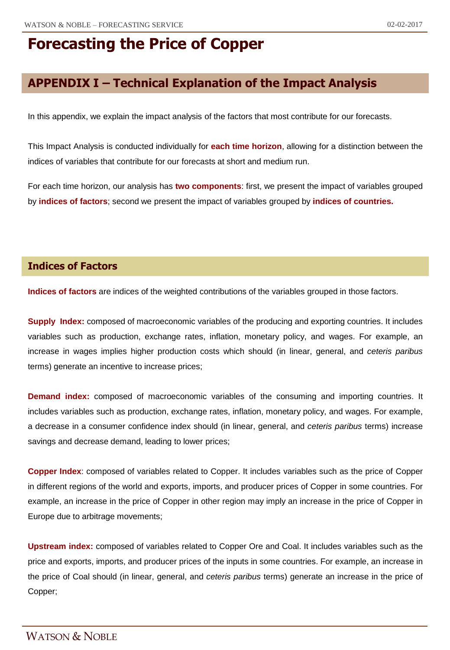## **APPENDIX I – Technical Explanation of the Impact Analysis**

In this appendix, we explain the impact analysis of the factors that most contribute for our forecasts.

This Impact Analysis is conducted individually for **each time horizon**, allowing for a distinction between the indices of variables that contribute for our forecasts at short and medium run.

For each time horizon, our analysis has **two components**: first, we present the impact of variables grouped by **indices of factors**; second we present the impact of variables grouped by **indices of countries.**

### **Indices of Factors**

**Indices of factors** are indices of the weighted contributions of the variables grouped in those factors.

**Supply Index:** composed of macroeconomic variables of the producing and exporting countries. It includes variables such as production, exchange rates, inflation, monetary policy, and wages. For example, an increase in wages implies higher production costs which should (in linear, general, and *ceteris paribus* terms) generate an incentive to increase prices;

**Demand index:** composed of macroeconomic variables of the consuming and importing countries. It includes variables such as production, exchange rates, inflation, monetary policy, and wages. For example, a decrease in a consumer confidence index should (in linear, general, and *ceteris paribus* terms) increase savings and decrease demand, leading to lower prices;

**Copper Index**: composed of variables related to Copper. It includes variables such as the price of Copper in different regions of the world and exports, imports, and producer prices of Copper in some countries. For example, an increase in the price of Copper in other region may imply an increase in the price of Copper in Europe due to arbitrage movements;

**Upstream index:** composed of variables related to Copper Ore and Coal. It includes variables such as the price and exports, imports, and producer prices of the inputs in some countries. For example, an increase in the price of Coal should (in linear, general, and *ceteris paribus* terms) generate an increase in the price of Copper;